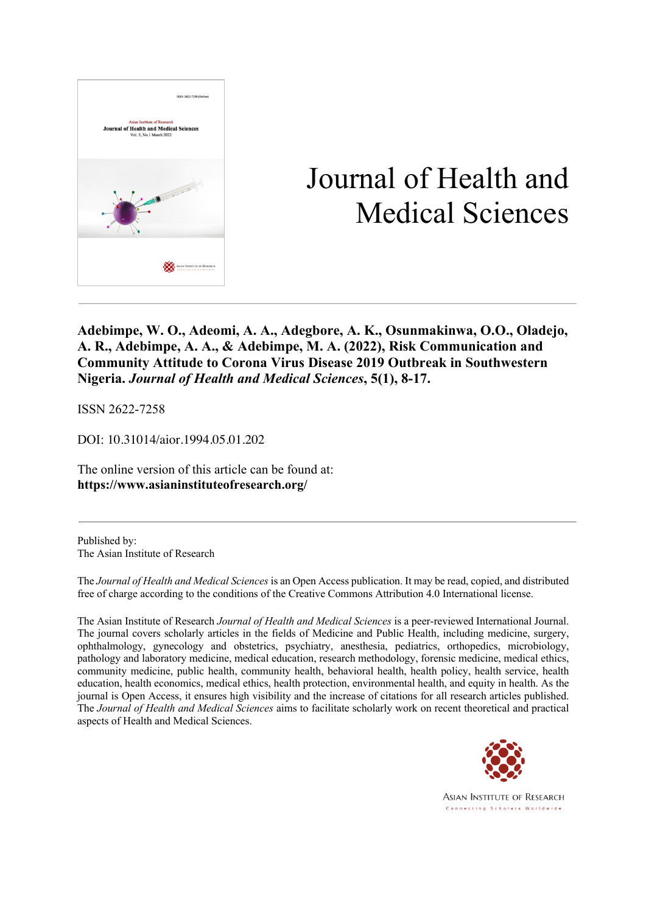

# Journal of Health and Medical Sciences

**Adebimpe, W. O., Adeomi, A. A., Adegbore, A. K., Osunmakinwa, O.O., Oladejo, A. R., Adebimpe, A. A., & Adebimpe, M. A. (2022), Risk Communication and Community Attitude to Corona Virus Disease 2019 Outbreak in Southwestern Nigeria.** *Journal of Health and Medical Sciences***, 5(1), 8-17.**

ISSN 2622-7258

DOI: 10.31014/aior.1994.05.01.202

The online version of this article can be found at: **https://www.asianinstituteofresearch.org/**

Published by: The Asian Institute of Research

The *Journal of Health and Medical Sciences* is an Open Access publication. It may be read, copied, and distributed free of charge according to the conditions of the Creative Commons Attribution 4.0 International license.

The Asian Institute of Research *Journal of Health and Medical Sciences* is a peer-reviewed International Journal. The journal covers scholarly articles in the fields of Medicine and Public Health, including medicine, surgery, ophthalmology, gynecology and obstetrics, psychiatry, anesthesia, pediatrics, orthopedics, microbiology, pathology and laboratory medicine, medical education, research methodology, forensic medicine, medical ethics, community medicine, public health, community health, behavioral health, health policy, health service, health education, health economics, medical ethics, health protection, environmental health, and equity in health. As the journal is Open Access, it ensures high visibility and the increase of citations for all research articles published. The *Journal of Health and Medical Sciences* aims to facilitate scholarly work on recent theoretical and practical aspects of Health and Medical Sciences.



**ASIAN INSTITUTE OF RESEARCH** Connecting Scholars Worldwide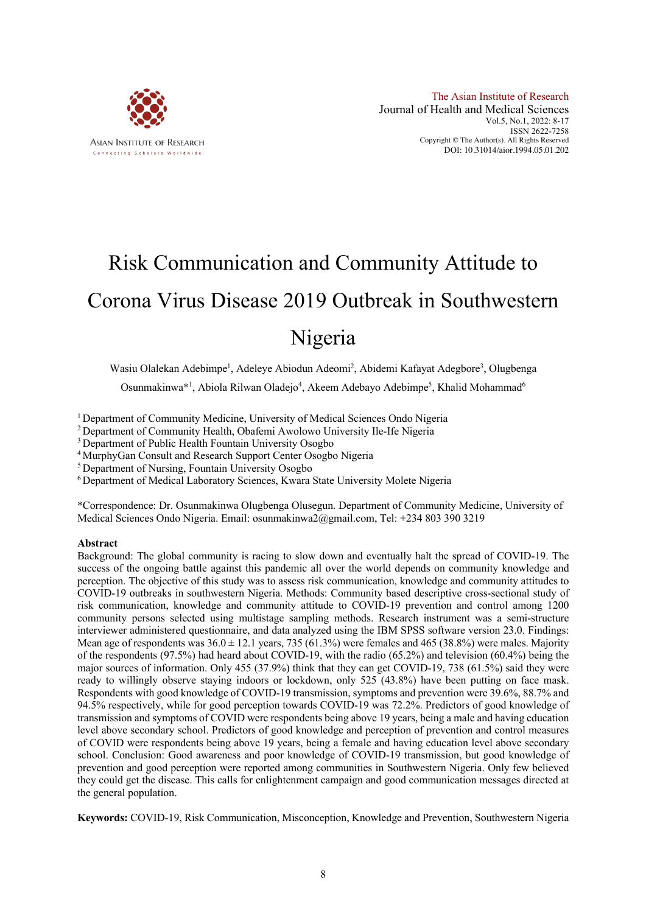

# Risk Communication and Community Attitude to Corona Virus Disease 2019 Outbreak in Southwestern Nigeria

Wasiu Olalekan Adebimpe<sup>1</sup>, Adeleye Abiodun Adeomi<sup>2</sup>, Abidemi Kafayat Adegbore<sup>3</sup>, Olugbenga

Osunmakinwa\*<sup>1</sup>, Abiola Rilwan Oladejo<sup>4</sup>, Akeem Adebayo Adebimpe<sup>5</sup>, Khalid Mohammad<sup>6</sup>

<sup>1</sup> Department of Community Medicine, University of Medical Sciences Ondo Nigeria

<sup>2</sup> Department of Community Health, Obafemi Awolowo University Ile-Ife Nigeria

<sup>3</sup> Department of Public Health Fountain University Osogbo

<sup>4</sup> MurphyGan Consult and Research Support Center Osogbo Nigeria

<sup>5</sup> Department of Nursing, Fountain University Osogbo

<sup>6</sup> Department of Medical Laboratory Sciences, Kwara State University Molete Nigeria

\*Correspondence: Dr. Osunmakinwa Olugbenga Olusegun. Department of Community Medicine, University of Medical Sciences Ondo Nigeria. Email: osunmakinwa2@gmail.com, Tel: +234 803 390 3219

### **Abstract**

Background: The global community is racing to slow down and eventually halt the spread of COVID-19. The success of the ongoing battle against this pandemic all over the world depends on community knowledge and perception. The objective of this study was to assess risk communication, knowledge and community attitudes to COVID-19 outbreaks in southwestern Nigeria. Methods: Community based descriptive cross-sectional study of risk communication, knowledge and community attitude to COVID-19 prevention and control among 1200 community persons selected using multistage sampling methods. Research instrument was a semi-structure interviewer administered questionnaire, and data analyzed using the IBM SPSS software version 23.0. Findings: Mean age of respondents was  $36.0 \pm 12.1$  years, 735 (61.3%) were females and 465 (38.8%) were males. Majority of the respondents (97.5%) had heard about COVID-19, with the radio (65.2%) and television (60.4%) being the major sources of information. Only 455 (37.9%) think that they can get COVID-19, 738 (61.5%) said they were ready to willingly observe staying indoors or lockdown, only 525 (43.8%) have been putting on face mask. Respondents with good knowledge of COVID-19 transmission, symptoms and prevention were 39.6%, 88.7% and 94.5% respectively, while for good perception towards COVID-19 was 72.2%. Predictors of good knowledge of transmission and symptoms of COVID were respondents being above 19 years, being a male and having education level above secondary school. Predictors of good knowledge and perception of prevention and control measures of COVID were respondents being above 19 years, being a female and having education level above secondary school. Conclusion: Good awareness and poor knowledge of COVID-19 transmission, but good knowledge of prevention and good perception were reported among communities in Southwestern Nigeria. Only few believed they could get the disease. This calls for enlightenment campaign and good communication messages directed at the general population.

**Keywords:** COVID-19, Risk Communication, Misconception, Knowledge and Prevention, Southwestern Nigeria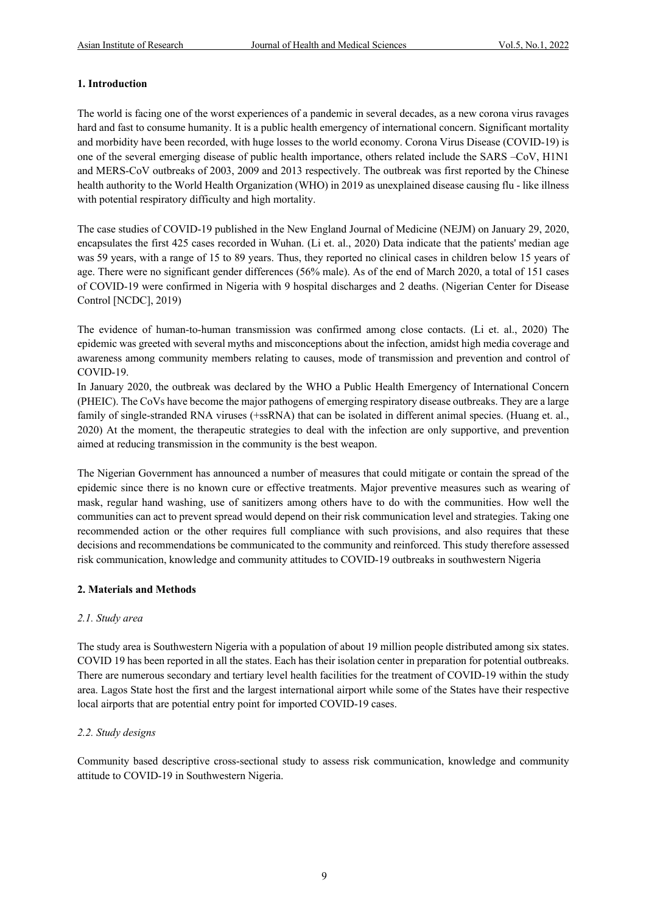# **1. Introduction**

The world is facing one of the worst experiences of a pandemic in several decades, as a new corona virus ravages hard and fast to consume humanity. It is a public health emergency of international concern. Significant mortality and morbidity have been recorded, with huge losses to the world economy. Corona Virus Disease (COVID-19) is one of the several emerging disease of public health importance, others related include the SARS –CoV, H1N1 and MERS-CoV outbreaks of 2003, 2009 and 2013 respectively. The outbreak was first reported by the Chinese health authority to the World Health Organization (WHO) in 2019 as unexplained disease causing flu - like illness with potential respiratory difficulty and high mortality.

The case studies of COVID-19 published in the New England Journal of Medicine (NEJM) on January 29, 2020, encapsulates the first 425 cases recorded in Wuhan. (Li et. al., 2020) Data indicate that the patients' median age was 59 years, with a range of 15 to 89 years. Thus, they reported no clinical cases in children below 15 years of age. There were no significant gender differences (56% male). As of the end of March 2020, a total of 151 cases of COVID-19 were confirmed in Nigeria with 9 hospital discharges and 2 deaths. (Nigerian Center for Disease Control [NCDC], 2019)

The evidence of human-to-human transmission was confirmed among close contacts. (Li et. al., 2020) The epidemic was greeted with several myths and misconceptions about the infection, amidst high media coverage and awareness among community members relating to causes, mode of transmission and prevention and control of COVID-19.

In January 2020, the outbreak was declared by the WHO a Public Health Emergency of International Concern (PHEIC). The CoVs have become the major pathogens of emerging respiratory disease outbreaks. They are a large family of single-stranded RNA viruses (+ssRNA) that can be isolated in different animal species. (Huang et. al., 2020) At the moment, the therapeutic strategies to deal with the infection are only supportive, and prevention aimed at reducing transmission in the community is the best weapon.

The Nigerian Government has announced a number of measures that could mitigate or contain the spread of the epidemic since there is no known cure or effective treatments. Major preventive measures such as wearing of mask, regular hand washing, use of sanitizers among others have to do with the communities. How well the communities can act to prevent spread would depend on their risk communication level and strategies. Taking one recommended action or the other requires full compliance with such provisions, and also requires that these decisions and recommendations be communicated to the community and reinforced. This study therefore assessed risk communication, knowledge and community attitudes to COVID-19 outbreaks in southwestern Nigeria

# **2. Materials and Methods**

# *2.1. Study area*

The study area is Southwestern Nigeria with a population of about 19 million people distributed among six states. COVID 19 has been reported in all the states. Each has their isolation center in preparation for potential outbreaks. There are numerous secondary and tertiary level health facilities for the treatment of COVID-19 within the study area. Lagos State host the first and the largest international airport while some of the States have their respective local airports that are potential entry point for imported COVID-19 cases.

# *2.2. Study designs*

Community based descriptive cross-sectional study to assess risk communication, knowledge and community attitude to COVID-19 in Southwestern Nigeria.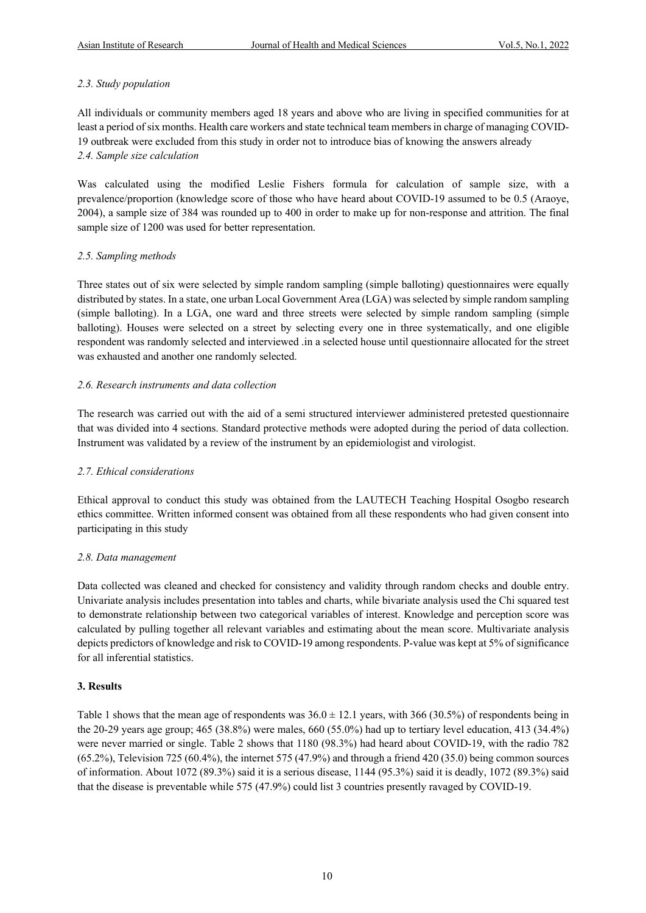## *2.3. Study population*

All individuals or community members aged 18 years and above who are living in specified communities for at least a period of six months. Health care workers and state technical team members in charge of managing COVID-19 outbreak were excluded from this study in order not to introduce bias of knowing the answers already *2.4. Sample size calculation*

Was calculated using the modified Leslie Fishers formula for calculation of sample size, with a prevalence/proportion (knowledge score of those who have heard about COVID-19 assumed to be 0.5 (Araoye, 2004), a sample size of 384 was rounded up to 400 in order to make up for non-response and attrition. The final sample size of 1200 was used for better representation.

## *2.5. Sampling methods*

Three states out of six were selected by simple random sampling (simple balloting) questionnaires were equally distributed by states. In a state, one urban Local Government Area (LGA) was selected by simple random sampling (simple balloting). In a LGA, one ward and three streets were selected by simple random sampling (simple balloting). Houses were selected on a street by selecting every one in three systematically, and one eligible respondent was randomly selected and interviewed .in a selected house until questionnaire allocated for the street was exhausted and another one randomly selected.

## *2.6. Research instruments and data collection*

The research was carried out with the aid of a semi structured interviewer administered pretested questionnaire that was divided into 4 sections. Standard protective methods were adopted during the period of data collection. Instrument was validated by a review of the instrument by an epidemiologist and virologist.

# *2.7. Ethical considerations*

Ethical approval to conduct this study was obtained from the LAUTECH Teaching Hospital Osogbo research ethics committee. Written informed consent was obtained from all these respondents who had given consent into participating in this study

### *2.8. Data management*

Data collected was cleaned and checked for consistency and validity through random checks and double entry. Univariate analysis includes presentation into tables and charts, while bivariate analysis used the Chi squared test to demonstrate relationship between two categorical variables of interest. Knowledge and perception score was calculated by pulling together all relevant variables and estimating about the mean score. Multivariate analysis depicts predictors of knowledge and risk to COVID-19 among respondents. P-value was kept at 5% of significance for all inferential statistics.

### **3. Results**

Table 1 shows that the mean age of respondents was  $36.0 \pm 12.1$  years, with  $366$  (30.5%) of respondents being in the 20-29 years age group; 465 (38.8%) were males, 660 (55.0%) had up to tertiary level education, 413 (34.4%) were never married or single. Table 2 shows that 1180 (98.3%) had heard about COVID-19, with the radio 782 (65.2%), Television 725 (60.4%), the internet 575 (47.9%) and through a friend 420 (35.0) being common sources of information. About 1072 (89.3%) said it is a serious disease, 1144 (95.3%) said it is deadly, 1072 (89.3%) said that the disease is preventable while 575 (47.9%) could list 3 countries presently ravaged by COVID-19.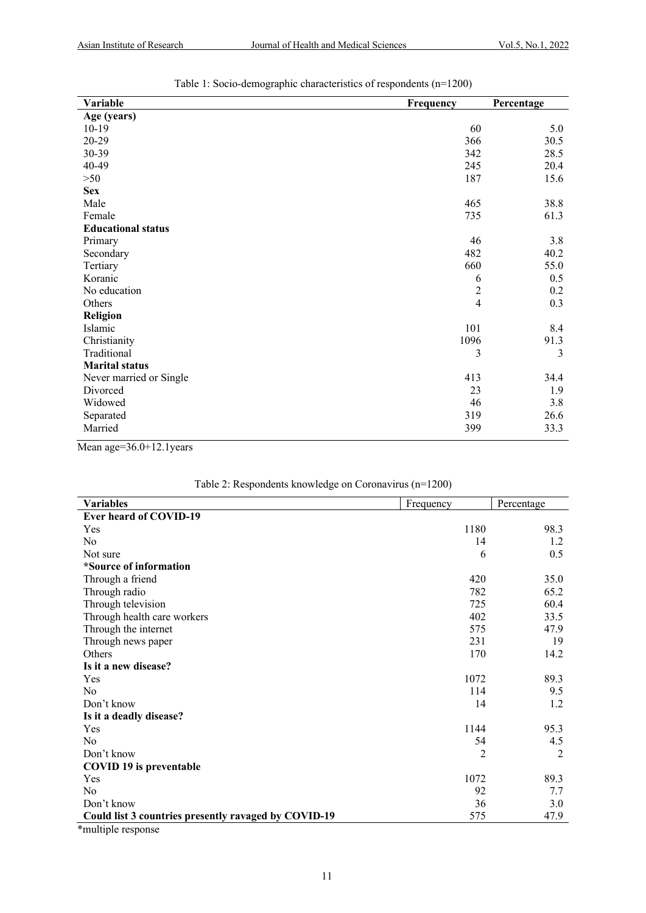| Variable                  | Frequency      | Percentage |
|---------------------------|----------------|------------|
| Age (years)               |                |            |
| $10-19$                   | 60             | 5.0        |
| 20-29                     | 366            | 30.5       |
| 30-39                     | 342            | 28.5       |
| 40-49                     | 245            | 20.4       |
| $>50$                     | 187            | 15.6       |
| <b>Sex</b>                |                |            |
| Male                      | 465            | 38.8       |
| Female                    | 735            | 61.3       |
| <b>Educational status</b> |                |            |
| Primary                   | 46             | 3.8        |
| Secondary                 | 482            | 40.2       |
| Tertiary                  | 660            | 55.0       |
| Koranic                   | 6              | 0.5        |
| No education              | $\overline{c}$ | 0.2        |
| Others                    | $\overline{4}$ | 0.3        |
| Religion                  |                |            |
| Islamic                   | 101            | 8.4        |
| Christianity              | 1096           | 91.3       |
| Traditional               | 3              | 3          |
| <b>Marital status</b>     |                |            |
| Never married or Single   | 413            | 34.4       |
| Divorced                  | 23             | 1.9        |
| Widowed                   | 46             | 3.8        |
| Separated                 | 319            | 26.6       |
| Married                   | 399            | 33.3       |

Table 1: Socio-demographic characteristics of respondents (n=1200)

Mean age=36.0+12.1years

| <b>Variables</b>                                     | Frequency | Percentage |
|------------------------------------------------------|-----------|------------|
| <b>Ever heard of COVID-19</b>                        |           |            |
| Yes                                                  | 1180      | 98.3       |
| N <sub>0</sub>                                       | 14        | 1.2        |
| Not sure                                             | 6         | 0.5        |
| *Source of information                               |           |            |
| Through a friend                                     | 420       | 35.0       |
| Through radio                                        | 782       | 65.2       |
| Through television                                   | 725       | 60.4       |
| Through health care workers                          | 402       | 33.5       |
| Through the internet                                 | 575       | 47.9       |
| Through news paper                                   | 231       | 19         |
| Others                                               | 170       | 14.2       |
| Is it a new disease?                                 |           |            |
| Yes                                                  | 1072      | 89.3       |
| No                                                   | 114       | 9.5        |
| Don't know                                           | 14        | 1.2        |
| Is it a deadly disease?                              |           |            |
| Yes                                                  | 1144      | 95.3       |
| No                                                   | 54        | 4.5        |
| Don't know                                           | 2         | 2          |
| <b>COVID 19 is preventable</b>                       |           |            |
| Yes                                                  | 1072      | 89.3       |
| No                                                   | 92        | 7.7        |
| Don't know                                           | 36        | 3.0        |
| Could list 3 countries presently ravaged by COVID-19 | 575       | 47.9       |
| *multiple response                                   |           |            |

| Table 2: Respondents knowledge on Coronavirus (n=1200) |  |  |
|--------------------------------------------------------|--|--|
|                                                        |  |  |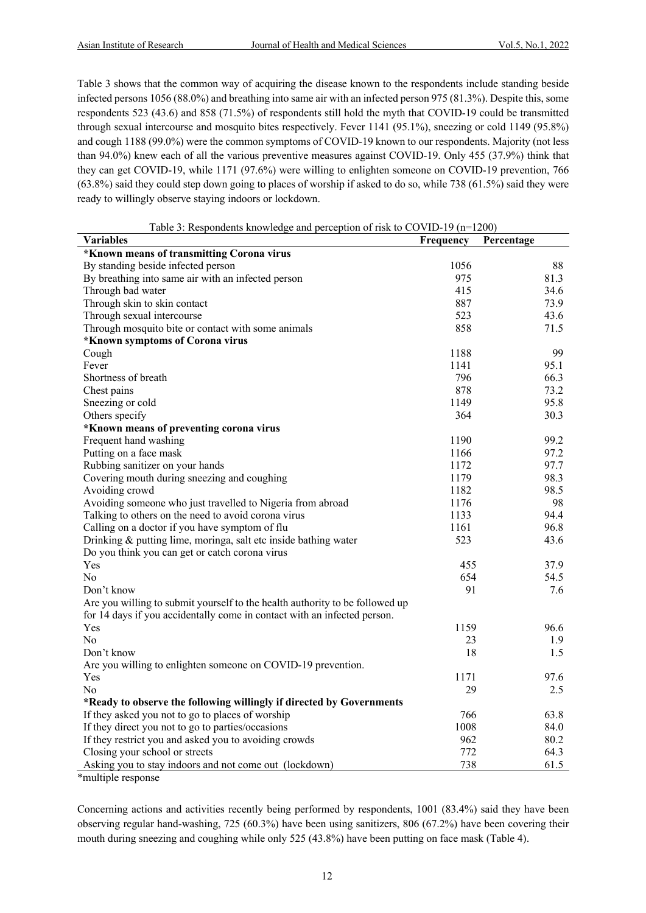Table 3 shows that the common way of acquiring the disease known to the respondents include standing beside infected persons 1056 (88.0%) and breathing into same air with an infected person 975 (81.3%). Despite this, some respondents 523 (43.6) and 858 (71.5%) of respondents still hold the myth that COVID-19 could be transmitted through sexual intercourse and mosquito bites respectively. Fever 1141 (95.1%), sneezing or cold 1149 (95.8%) and cough 1188 (99.0%) were the common symptoms of COVID-19 known to our respondents. Majority (not less than 94.0%) knew each of all the various preventive measures against COVID-19. Only 455 (37.9%) think that they can get COVID-19, while 1171 (97.6%) were willing to enlighten someone on COVID-19 prevention, 766 (63.8%) said they could step down going to places of worship if asked to do so, while 738 (61.5%) said they were ready to willingly observe staying indoors or lockdown.

| Table 3: Respondents knowledge and perception of risk to COVID-19 (n=1200)   |           |            |  |  |  |
|------------------------------------------------------------------------------|-----------|------------|--|--|--|
| <b>Variables</b>                                                             | Frequency | Percentage |  |  |  |
| *Known means of transmitting Corona virus                                    |           |            |  |  |  |
| By standing beside infected person                                           | 1056      | 88         |  |  |  |
| By breathing into same air with an infected person                           | 975       | 81.3       |  |  |  |
| Through bad water                                                            | 415       | 34.6       |  |  |  |
| Through skin to skin contact                                                 | 887       | 73.9       |  |  |  |
| Through sexual intercourse                                                   | 523       | 43.6       |  |  |  |
| Through mosquito bite or contact with some animals                           | 858       | 71.5       |  |  |  |
| *Known symptoms of Corona virus                                              |           |            |  |  |  |
| Cough                                                                        | 1188      | 99         |  |  |  |
| Fever                                                                        | 1141      | 95.1       |  |  |  |
| Shortness of breath                                                          | 796       | 66.3       |  |  |  |
| Chest pains                                                                  | 878       | 73.2       |  |  |  |
| Sneezing or cold                                                             | 1149      | 95.8       |  |  |  |
| Others specify                                                               | 364       | 30.3       |  |  |  |
| *Known means of preventing corona virus                                      |           |            |  |  |  |
| Frequent hand washing                                                        | 1190      | 99.2       |  |  |  |
| Putting on a face mask                                                       | 1166      | 97.2       |  |  |  |
| Rubbing sanitizer on your hands                                              | 1172      | 97.7       |  |  |  |
| Covering mouth during sneezing and coughing                                  | 1179      | 98.3       |  |  |  |
| Avoiding crowd                                                               | 1182      | 98.5       |  |  |  |
| Avoiding someone who just travelled to Nigeria from abroad                   | 1176      | 98         |  |  |  |
| Talking to others on the need to avoid corona virus                          | 1133      | 94.4       |  |  |  |
| Calling on a doctor if you have symptom of flu                               | 1161      | 96.8       |  |  |  |
| Drinking & putting lime, moringa, salt etc inside bathing water              | 523       | 43.6       |  |  |  |
| Do you think you can get or catch corona virus                               |           |            |  |  |  |
| Yes                                                                          | 455       | 37.9       |  |  |  |
| No                                                                           | 654       | 54.5       |  |  |  |
| Don't know                                                                   | 91        | 7.6        |  |  |  |
| Are you willing to submit yourself to the health authority to be followed up |           |            |  |  |  |
| for 14 days if you accidentally come in contact with an infected person.     |           |            |  |  |  |
| Yes                                                                          | 1159      | 96.6       |  |  |  |
| N <sub>0</sub>                                                               | 23        | 1.9        |  |  |  |
| Don't know                                                                   | 18        | 1.5        |  |  |  |
| Are you willing to enlighten someone on COVID-19 prevention.                 |           |            |  |  |  |
| Yes                                                                          | 1171      | 97.6       |  |  |  |
| No                                                                           | 29        | 2.5        |  |  |  |
| *Ready to observe the following willingly if directed by Governments         |           |            |  |  |  |
| If they asked you not to go to places of worship                             | 766       | 63.8       |  |  |  |
| If they direct you not to go to parties/occasions                            | 1008      | 84.0       |  |  |  |
| If they restrict you and asked you to avoiding crowds                        | 962       | 80.2       |  |  |  |
| Closing your school or streets                                               | 772       | 64.3       |  |  |  |
| Asking you to stay indoors and not come out (lockdown)<br>$*11$              | 738       | 61.5       |  |  |  |

\*multiple response

Concerning actions and activities recently being performed by respondents, 1001 (83.4%) said they have been observing regular hand-washing, 725 (60.3%) have been using sanitizers, 806 (67.2%) have been covering their mouth during sneezing and coughing while only 525 (43.8%) have been putting on face mask (Table 4).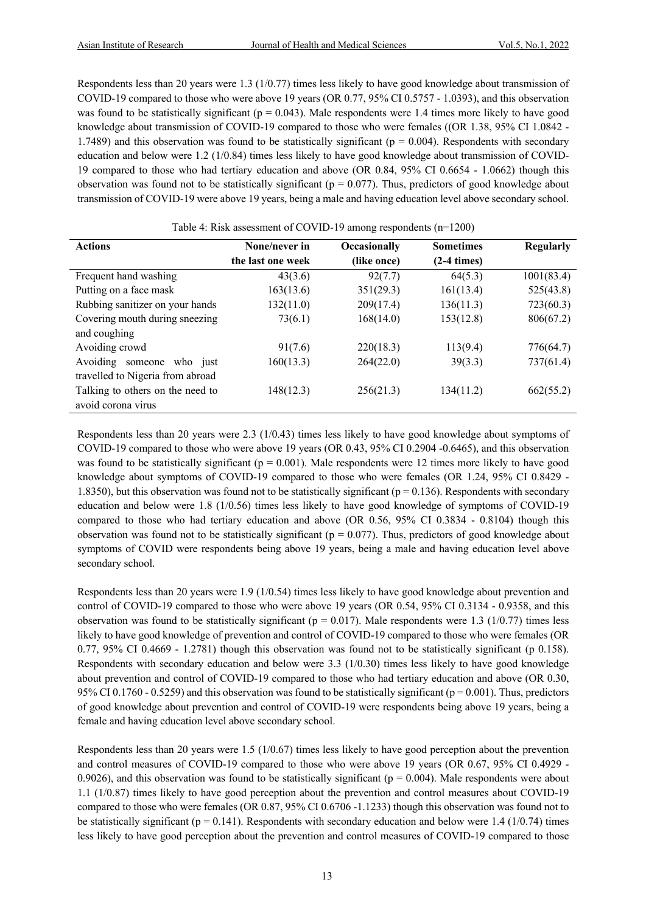Respondents less than 20 years were 1.3 (1/0.77) times less likely to have good knowledge about transmission of COVID-19 compared to those who were above 19 years (OR 0.77, 95% CI 0.5757 - 1.0393), and this observation was found to be statistically significant ( $p = 0.043$ ). Male respondents were 1.4 times more likely to have good knowledge about transmission of COVID-19 compared to those who were females ((OR 1.38, 95% CI 1.0842 - 1.7489) and this observation was found to be statistically significant ( $p = 0.004$ ). Respondents with secondary education and below were 1.2 (1/0.84) times less likely to have good knowledge about transmission of COVID-19 compared to those who had tertiary education and above (OR 0.84, 95% CI 0.6654 - 1.0662) though this observation was found not to be statistically significant ( $p = 0.077$ ). Thus, predictors of good knowledge about transmission of COVID-19 were above 19 years, being a male and having education level above secondary school.

| <b>Actions</b>                   | None/never in     | Occasionally | <b>Sometimes</b> | <b>Regularly</b> |  |  |
|----------------------------------|-------------------|--------------|------------------|------------------|--|--|
|                                  | the last one week | (like once)  | $(2-4 \times)$   |                  |  |  |
| Frequent hand washing            | 43(3.6)           | 92(7.7)      | 64(5.3)          | 1001(83.4)       |  |  |
| Putting on a face mask           | 163(13.6)         | 351(29.3)    | 161(13.4)        | 525(43.8)        |  |  |
| Rubbing sanitizer on your hands  | 132(11.0)         | 209(17.4)    | 136(11.3)        | 723(60.3)        |  |  |
| Covering mouth during sneezing   | 73(6.1)           | 168(14.0)    | 153(12.8)        | 806(67.2)        |  |  |
| and coughing                     |                   |              |                  |                  |  |  |
| Avoiding crowd                   | 91(7.6)           | 220(18.3)    | 113(9.4)         | 776(64.7)        |  |  |
| Avoiding someone<br>who just     | 160(13.3)         | 264(22.0)    | 39(3.3)          | 737(61.4)        |  |  |
| travelled to Nigeria from abroad |                   |              |                  |                  |  |  |
| Talking to others on the need to | 148(12.3)         | 256(21.3)    | 134(11.2)        | 662(55.2)        |  |  |
| avoid corona virus               |                   |              |                  |                  |  |  |

Table 4: Risk assessment of COVID-19 among respondents (n=1200)

Respondents less than 20 years were 2.3 (1/0.43) times less likely to have good knowledge about symptoms of COVID-19 compared to those who were above 19 years (OR 0.43, 95% CI 0.2904 -0.6465), and this observation was found to be statistically significant ( $p = 0.001$ ). Male respondents were 12 times more likely to have good knowledge about symptoms of COVID-19 compared to those who were females (OR 1.24, 95% CI 0.8429 - 1.8350), but this observation was found not to be statistically significant ( $p = 0.136$ ). Respondents with secondary education and below were 1.8 (1/0.56) times less likely to have good knowledge of symptoms of COVID-19 compared to those who had tertiary education and above (OR 0.56, 95% CI 0.3834 - 0.8104) though this observation was found not to be statistically significant ( $p = 0.077$ ). Thus, predictors of good knowledge about symptoms of COVID were respondents being above 19 years, being a male and having education level above secondary school.

Respondents less than 20 years were 1.9 (1/0.54) times less likely to have good knowledge about prevention and control of COVID-19 compared to those who were above 19 years (OR 0.54, 95% CI 0.3134 - 0.9358, and this observation was found to be statistically significant ( $p = 0.017$ ). Male respondents were 1.3 (1/0.77) times less likely to have good knowledge of prevention and control of COVID-19 compared to those who were females (OR 0.77, 95% CI 0.4669 - 1.2781) though this observation was found not to be statistically significant (p 0.158). Respondents with secondary education and below were 3.3 (1/0.30) times less likely to have good knowledge about prevention and control of COVID-19 compared to those who had tertiary education and above (OR 0.30, 95% CI 0.1760 - 0.5259) and this observation was found to be statistically significant ( $p = 0.001$ ). Thus, predictors of good knowledge about prevention and control of COVID-19 were respondents being above 19 years, being a female and having education level above secondary school.

Respondents less than 20 years were 1.5 (1/0.67) times less likely to have good perception about the prevention and control measures of COVID-19 compared to those who were above 19 years (OR 0.67, 95% CI 0.4929 - 0.9026), and this observation was found to be statistically significant ( $p = 0.004$ ). Male respondents were about 1.1 (1/0.87) times likely to have good perception about the prevention and control measures about COVID-19 compared to those who were females (OR 0.87, 95% CI 0.6706 -1.1233) though this observation was found not to be statistically significant ( $p = 0.141$ ). Respondents with secondary education and below were 1.4 (1/0.74) times less likely to have good perception about the prevention and control measures of COVID-19 compared to those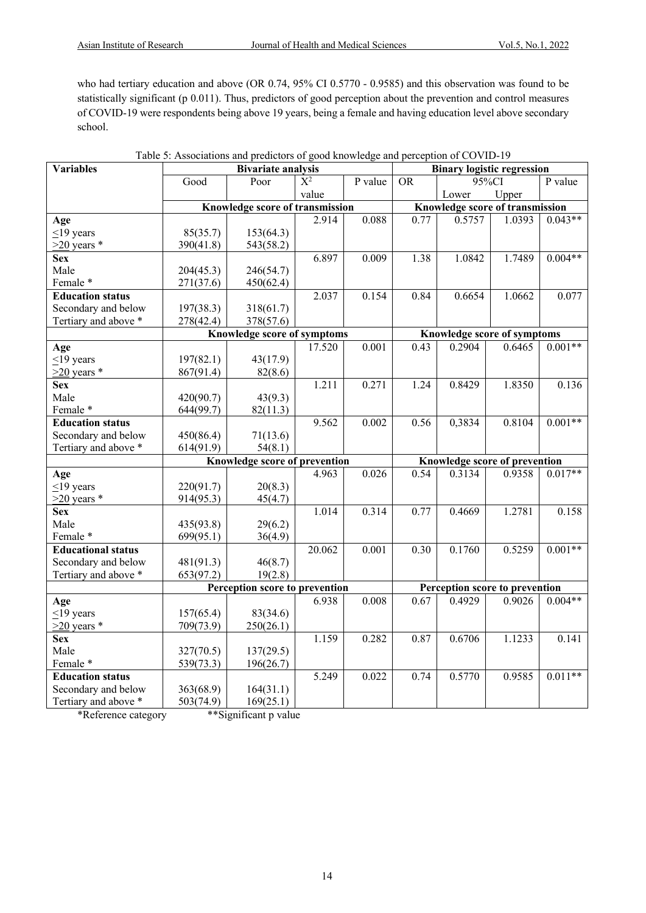who had tertiary education and above (OR 0.74, 95% CI 0.5770 - 0.9585) and this observation was found to be statistically significant (p 0.011). Thus, predictors of good perception about the prevention and control measures of COVID-19 were respondents being above 19 years, being a female and having education level above secondary school.

| <b>Variables</b>          |           | <b>Bivariate analysis</b>              |                  |         |                                 | <b>Binary logistic regression</b>                              |        |           |
|---------------------------|-----------|----------------------------------------|------------------|---------|---------------------------------|----------------------------------------------------------------|--------|-----------|
|                           | Good      | Poor                                   | $\overline{X^2}$ | P value | <b>OR</b>                       | $95\sqrt{cI}$                                                  |        | P value   |
|                           |           |                                        | value            |         |                                 | Lower                                                          | Upper  |           |
|                           |           | <b>Knowledge score of transmission</b> |                  |         | Knowledge score of transmission |                                                                |        |           |
| Age                       |           |                                        | 2.914            | 0.088   | 0.77                            | 0.5757                                                         | 1.0393 | $0.043**$ |
| $<$ 19 years              | 85(35.7)  | 153(64.3)                              |                  |         |                                 |                                                                |        |           |
| $>20$ years *             | 390(41.8) | 543(58.2)                              |                  |         |                                 |                                                                |        |           |
| <b>Sex</b>                |           |                                        | 6.897            | 0.009   | 1.38                            | 1.0842                                                         | 1.7489 | $0.004**$ |
| Male                      | 204(45.3) | 246(54.7)                              |                  |         |                                 |                                                                |        |           |
| Female*                   | 271(37.6) | 450(62.4)                              |                  |         |                                 |                                                                |        |           |
| <b>Education status</b>   |           |                                        | 2.037            | 0.154   | 0.84                            | 0.6654                                                         | 1.0662 | 0.077     |
| Secondary and below       | 197(38.3) | 318(61.7)                              |                  |         |                                 |                                                                |        |           |
| Tertiary and above *      | 278(42.4) | 378(57.6)                              |                  |         |                                 |                                                                |        |           |
|                           |           | Knowledge score of symptoms            |                  |         |                                 | Knowledge score of symptoms                                    |        |           |
| Age                       |           |                                        | 17.520           | 0.001   | 0.43                            | 0.2904                                                         | 0.6465 | $0.001**$ |
| $\leq$ 19 years           | 197(82.1) | 43(17.9)                               |                  |         |                                 |                                                                |        |           |
| $>20$ years *             | 867(91.4) | 82(8.6)                                |                  |         |                                 |                                                                |        |           |
| <b>Sex</b>                |           |                                        | 1.211            | 0.271   | 1.24                            | 0.8429                                                         | 1.8350 | 0.136     |
| Male                      | 420(90.7) | 43(9.3)                                |                  |         |                                 |                                                                |        |           |
| Female*                   | 644(99.7) | 82(11.3)                               |                  |         |                                 |                                                                |        |           |
| <b>Education status</b>   |           |                                        | 9.562            | 0.002   | 0.56                            | 0,3834                                                         | 0.8104 | $0.001**$ |
| Secondary and below       | 450(86.4) | 71(13.6)                               |                  |         |                                 |                                                                |        |           |
| Tertiary and above *      | 614(91.9) | 54(8.1)                                |                  |         |                                 |                                                                |        |           |
|                           |           | Knowledge score of prevention          |                  |         |                                 |                                                                |        |           |
| Age                       |           |                                        | 4.963            | 0.026   | 0.54                            | Knowledge score of prevention<br>$0.017**$<br>0.3134<br>0.9358 |        |           |
| $\leq$ 19 years           | 220(91.7) | 20(8.3)                                |                  |         |                                 |                                                                |        |           |
| $>20$ years *             | 914(95.3) | 45(4.7)                                |                  |         |                                 |                                                                |        |           |
| <b>Sex</b>                |           |                                        | 1.014            | 0.314   | 0.77                            | 0.4669                                                         | 1.2781 | 0.158     |
| Male                      | 435(93.8) | 29(6.2)                                |                  |         |                                 |                                                                |        |           |
| Female*                   | 699(95.1) | 36(4.9)                                |                  |         |                                 |                                                                |        |           |
| <b>Educational status</b> |           |                                        | 20.062           | 0.001   | 0.30                            | 0.1760                                                         | 0.5259 | $0.001**$ |
| Secondary and below       | 481(91.3) | 46(8.7)                                |                  |         |                                 |                                                                |        |           |
| Tertiary and above *      | 653(97.2) | 19(2.8)                                |                  |         |                                 |                                                                |        |           |
|                           |           | Perception score to prevention         |                  |         |                                 | Perception score to prevention                                 |        |           |
| Age                       |           |                                        | 6.938            | 0.008   | 0.67                            | 0.4929                                                         | 0.9026 | $0.004**$ |
| $\leq$ 19 years           | 157(65.4) | 83(34.6)                               |                  |         |                                 |                                                                |        |           |
| $>20$ years *             | 709(73.9) | 250(26.1)                              |                  |         |                                 |                                                                |        |           |
|                           |           |                                        | 1.159            | 0.282   | 0.87                            | 0.6706                                                         | 1.1233 | 0.141     |
| <b>Sex</b><br>Male        |           |                                        |                  |         |                                 |                                                                |        |           |
| Female*                   | 327(70.5) | 137(29.5)                              |                  |         |                                 |                                                                |        |           |
|                           | 539(73.3) | 196(26.7)                              |                  |         |                                 |                                                                |        |           |
| <b>Education status</b>   |           |                                        | 5.249            | 0.022   | 0.74                            | 0.5770                                                         | 0.9585 | $0.011**$ |
| Secondary and below       | 363(68.9) | 164(31.1)                              |                  |         |                                 |                                                                |        |           |
| Tertiary and above *      | 503(74.9) | 169(25.1)                              |                  |         |                                 |                                                                |        |           |

\*Reference category \*\*Significant p value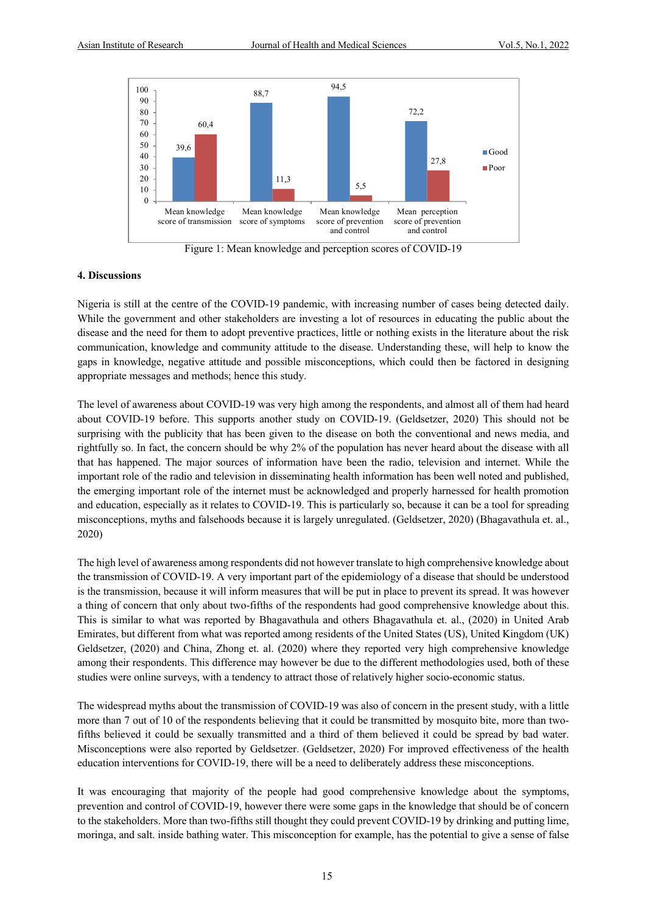

Figure 1: Mean knowledge and perception scores of COVID-19

#### **4. Discussions**

Nigeria is still at the centre of the COVID-19 pandemic, with increasing number of cases being detected daily. While the government and other stakeholders are investing a lot of resources in educating the public about the disease and the need for them to adopt preventive practices, little or nothing exists in the literature about the risk communication, knowledge and community attitude to the disease. Understanding these, will help to know the gaps in knowledge, negative attitude and possible misconceptions, which could then be factored in designing appropriate messages and methods; hence this study.

The level of awareness about COVID-19 was very high among the respondents, and almost all of them had heard about COVID-19 before. This supports another study on COVID-19. (Geldsetzer, 2020) This should not be surprising with the publicity that has been given to the disease on both the conventional and news media, and rightfully so. In fact, the concern should be why 2% of the population has never heard about the disease with all that has happened. The major sources of information have been the radio, television and internet. While the important role of the radio and television in disseminating health information has been well noted and published, the emerging important role of the internet must be acknowledged and properly harnessed for health promotion and education, especially as it relates to COVID-19. This is particularly so, because it can be a tool for spreading misconceptions, myths and falsehoods because it is largely unregulated. (Geldsetzer, 2020) (Bhagavathula et. al., 2020)

The high level of awareness among respondents did not however translate to high comprehensive knowledge about the transmission of COVID-19. A very important part of the epidemiology of a disease that should be understood is the transmission, because it will inform measures that will be put in place to prevent its spread. It was however a thing of concern that only about two-fifths of the respondents had good comprehensive knowledge about this. This is similar to what was reported by Bhagavathula and others Bhagavathula et. al., (2020) in United Arab Emirates, but different from what was reported among residents of the United States (US), United Kingdom (UK) Geldsetzer, (2020) and China, Zhong et. al. (2020) where they reported very high comprehensive knowledge among their respondents. This difference may however be due to the different methodologies used, both of these studies were online surveys, with a tendency to attract those of relatively higher socio-economic status.

The widespread myths about the transmission of COVID-19 was also of concern in the present study, with a little more than 7 out of 10 of the respondents believing that it could be transmitted by mosquito bite, more than twofifths believed it could be sexually transmitted and a third of them believed it could be spread by bad water. Misconceptions were also reported by Geldsetzer. (Geldsetzer, 2020) For improved effectiveness of the health education interventions for COVID-19, there will be a need to deliberately address these misconceptions.

It was encouraging that majority of the people had good comprehensive knowledge about the symptoms, prevention and control of COVID-19, however there were some gaps in the knowledge that should be of concern to the stakeholders. More than two-fifths still thought they could prevent COVID-19 by drinking and putting lime, moringa, and salt. inside bathing water. This misconception for example, has the potential to give a sense of false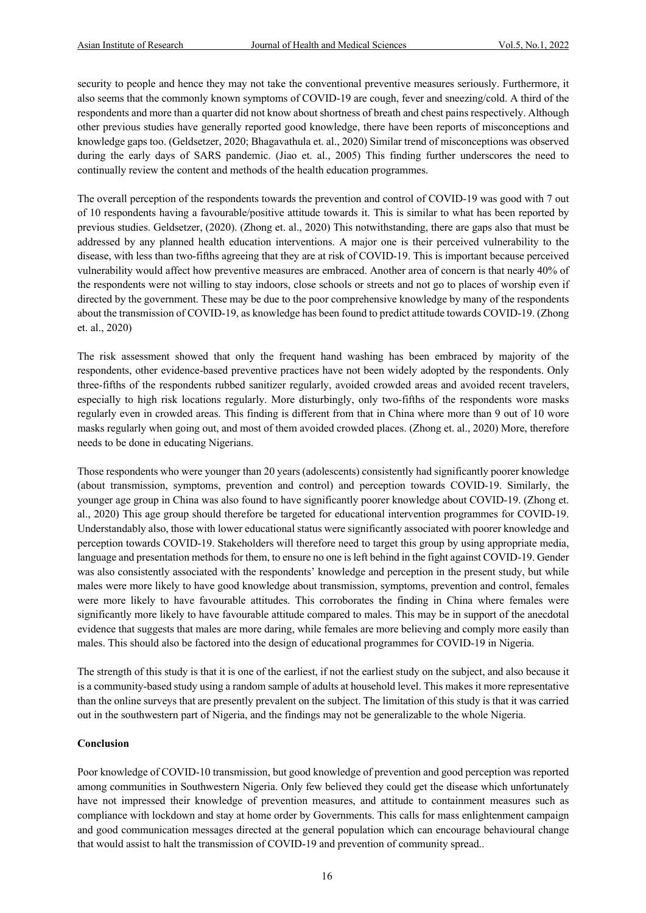security to people and hence they may not take the conventional preventive measures seriously. Furthermore, it also seems that the commonly known symptoms of COVID-19 are cough, fever and sneezing/cold. A third of the respondents and more than a quarter did not know about shortness of breath and chest pains respectively. Although other previous studies have generally reported good knowledge, there have been reports of misconceptions and knowledge gaps too. (Geldsetzer, 2020; Bhagavathula et. al., 2020) Similar trend of misconceptions was observed during the early days of SARS pandemic. (Jiao et. al., 2005) This finding further underscores the need to continually review the content and methods of the health education programmes.

The overall perception of the respondents towards the prevention and control of COVID-19 was good with 7 out of 10 respondents having a favourable/positive attitude towards it. This is similar to what has been reported by previous studies. Geldsetzer, (2020). (Zhong et. al., 2020) This notwithstanding, there are gaps also that must be addressed by any planned health education interventions. A major one is their perceived vulnerability to the disease, with less than two-fifths agreeing that they are at risk of COVID-19. This is important because perceived vulnerability would affect how preventive measures are embraced. Another area of concern is that nearly 40% of the respondents were not willing to stay indoors, close schools or streets and not go to places of worship even if directed by the government. These may be due to the poor comprehensive knowledge by many of the respondents about the transmission of COVID-19, as knowledge has been found to predict attitude towards COVID-19. (Zhong et. al., 2020)

The risk assessment showed that only the frequent hand washing has been embraced by majority of the respondents, other evidence-based preventive practices have not been widely adopted by the respondents. Only three-fifths of the respondents rubbed sanitizer regularly, avoided crowded areas and avoided recent travelers, especially to high risk locations regularly. More disturbingly, only two-fifths of the respondents wore masks regularly even in crowded areas. This finding is different from that in China where more than 9 out of 10 wore masks regularly when going out, and most of them avoided crowded places. (Zhong et. al., 2020) More, therefore needs to be done in educating Nigerians.

Those respondents who were younger than 20 years (adolescents) consistently had significantly poorer knowledge (about transmission, symptoms, prevention and control) and perception towards COVID-19. Similarly, the younger age group in China was also found to have significantly poorer knowledge about COVID-19. (Zhong et. al., 2020) This age group should therefore be targeted for educational intervention programmes for COVID-19. Understandably also, those with lower educational status were significantly associated with poorer knowledge and perception towards COVID-19. Stakeholders will therefore need to target this group by using appropriate media, language and presentation methods for them, to ensure no one is left behind in the fight against COVID-19. Gender was also consistently associated with the respondents' knowledge and perception in the present study, but while males were more likely to have good knowledge about transmission, symptoms, prevention and control, females were more likely to have favourable attitudes. This corroborates the finding in China where females were significantly more likely to have favourable attitude compared to males. This may be in support of the anecdotal evidence that suggests that males are more daring, while females are more believing and comply more easily than males. This should also be factored into the design of educational programmes for COVID-19 in Nigeria.

The strength of this study is that it is one of the earliest, if not the earliest study on the subject, and also because it is a community-based study using a random sample of adults at household level. This makes it more representative than the online surveys that are presently prevalent on the subject. The limitation of this study is that it was carried out in the southwestern part of Nigeria, and the findings may not be generalizable to the whole Nigeria.

# **Conclusion**

Poor knowledge of COVID-10 transmission, but good knowledge of prevention and good perception was reported among communities in Southwestern Nigeria. Only few believed they could get the disease which unfortunately have not impressed their knowledge of prevention measures, and attitude to containment measures such as compliance with lockdown and stay at home order by Governments. This calls for mass enlightenment campaign and good communication messages directed at the general population which can encourage behavioural change that would assist to halt the transmission of COVID-19 and prevention of community spread..